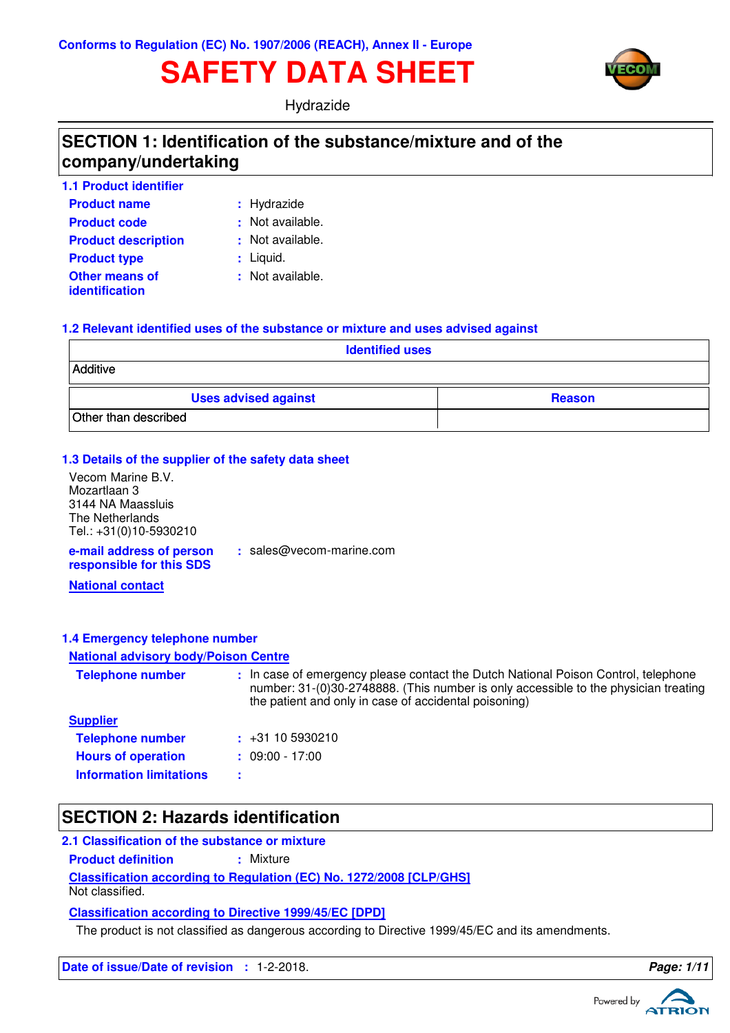# **SAFETY DATA SHEET**



Hydrazide

## **SECTION 1: Identification of the substance/mixture and of the company/undertaking**

| <b>1.1 Product identifier</b>                  |                  |
|------------------------------------------------|------------------|
| <b>Product name</b>                            | : Hydrazide      |
| <b>Product code</b>                            | : Not available. |
| <b>Product description</b>                     | : Not available. |
| <b>Product type</b>                            | $:$ Liquid.      |
| <b>Other means of</b><br><b>identification</b> | : Not available. |

#### **1.2 Relevant identified uses of the substance or mixture and uses advised against**

| <b>Identified uses</b>      |               |  |  |  |
|-----------------------------|---------------|--|--|--|
| Additive                    |               |  |  |  |
| <b>Uses advised against</b> | <b>Reason</b> |  |  |  |
| Other than described        |               |  |  |  |

#### **1.3 Details of the supplier of the safety data sheet**

**e-mail address of person** Vecom Marine B.V. Mozartlaan 3 3144 NA Maassluis The Netherlands Tel.: +31(0)10-5930210

**:** sales@vecom-marine.com

**responsible for this SDS**

**National contact**

#### **1.4 Emergency telephone number**

#### **National advisory body/Poison Centre**

| <b>Telephone number</b>        | : In case of emergency please contact the Dutch National Poison Control, telephone<br>number: 31-(0)30-2748888. (This number is only accessible to the physician treating<br>the patient and only in case of accidental poisoning) |
|--------------------------------|------------------------------------------------------------------------------------------------------------------------------------------------------------------------------------------------------------------------------------|
| <b>Supplier</b>                |                                                                                                                                                                                                                                    |
| <b>Telephone number</b>        | $\div$ +31 10 5930210                                                                                                                                                                                                              |
| <b>Hours of operation</b>      | $: 09:00 - 17:00$                                                                                                                                                                                                                  |
| <b>Information limitations</b> |                                                                                                                                                                                                                                    |

### **SECTION 2: Hazards identification**

#### **2.1 Classification of the substance or mixture**

**Product definition : Mixture** 

**Classification according to Regulation (EC) No. 1272/2008 [CLP/GHS]**

Not classified.

**Classification according to Directive 1999/45/EC [DPD]**

The product is not classified as dangerous according to Directive 1999/45/EC and its amendments.

**Date of issue/Date of revision : 1-2-2018. Page: 1/1 Page: 1/1** 

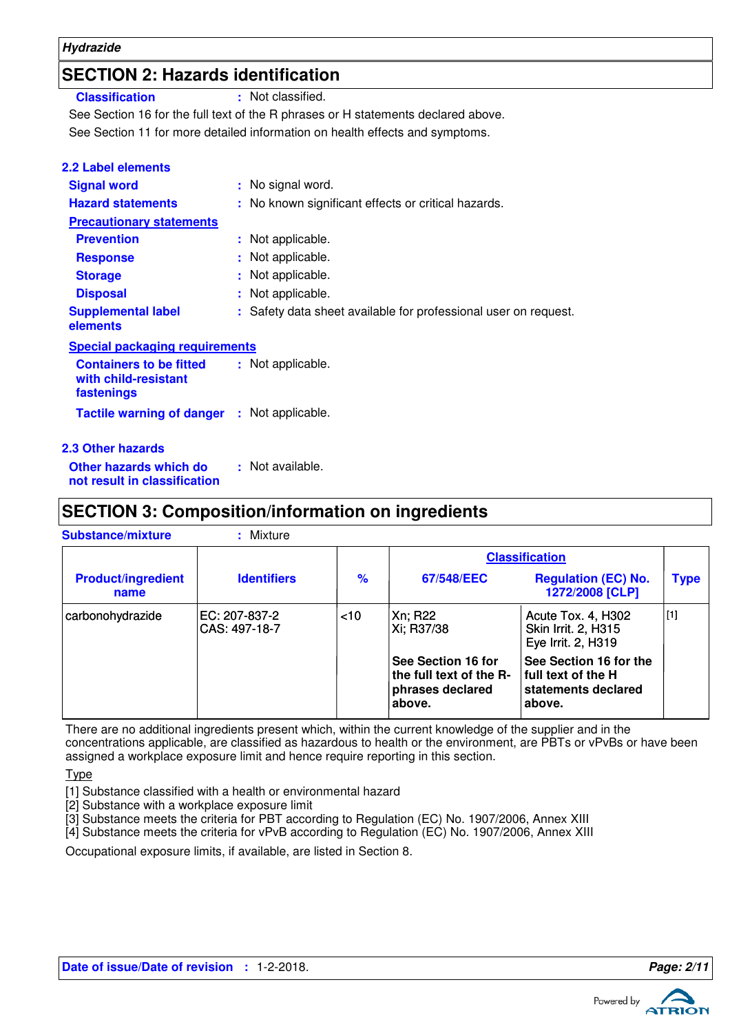## **SECTION 2: Hazards identification**

**Classification :** Not classified.

See Section 11 for more detailed information on health effects and symptoms. See Section 16 for the full text of the R phrases or H statements declared above.

| <b>2.2 Label elements</b>                                            |                                                                 |
|----------------------------------------------------------------------|-----------------------------------------------------------------|
| <b>Signal word</b>                                                   | : No signal word.                                               |
| <b>Hazard statements</b>                                             | : No known significant effects or critical hazards.             |
| <b>Precautionary statements</b>                                      |                                                                 |
| <b>Prevention</b>                                                    | : Not applicable.                                               |
| <b>Response</b>                                                      | : Not applicable.                                               |
| <b>Storage</b>                                                       | : Not applicable.                                               |
| <b>Disposal</b>                                                      | : Not applicable.                                               |
| <b>Supplemental label</b><br>elements                                | : Safety data sheet available for professional user on request. |
| <b>Special packaging requirements</b>                                |                                                                 |
| <b>Containers to be fitted</b><br>with child-resistant<br>fastenings | : Not applicable.                                               |
| Tactile warning of danger : Not applicable.                          |                                                                 |
| <b>2.3 Other hazards</b>                                             |                                                                 |
| Other hazards which do                                               | : Not available.                                                |

**not result in classification**

## **SECTION 3: Composition/information on ingredients**

| <b>Substance/mixture</b>          | : Mixture                      |               |                                                                             |                                                                                 |             |
|-----------------------------------|--------------------------------|---------------|-----------------------------------------------------------------------------|---------------------------------------------------------------------------------|-------------|
|                                   |                                |               |                                                                             | <b>Classification</b>                                                           |             |
| <b>Product/ingredient</b><br>name | <b>Identifiers</b>             | $\frac{9}{6}$ | 67/548/EEC                                                                  | <b>Regulation (EC) No.</b><br>1272/2008 [CLP]                                   | <b>Type</b> |
| carbonohydrazide                  | EC: 207-837-2<br>CAS: 497-18-7 | $<$ 10        | Xn; R22<br>Xi; R37/38                                                       | Acute Tox. 4, H302<br>Skin Irrit. 2, H315<br>Eye Irrit. 2, H319                 | $[1]$       |
|                                   |                                |               | See Section 16 for<br>the full text of the R-<br>phrases declared<br>above. | See Section 16 for the<br>  full text of the H<br>statements declared<br>above. |             |

There are no additional ingredients present which, within the current knowledge of the supplier and in the concentrations applicable, are classified as hazardous to health or the environment, are PBTs or vPvBs or have been assigned a workplace exposure limit and hence require reporting in this section.

Type

- [1] Substance classified with a health or environmental hazard
- [2] Substance with a workplace exposure limit
- [3] Substance meets the criteria for PBT according to Regulation (EC) No. 1907/2006, Annex XIII

[4] Substance meets the criteria for vPvB according to Regulation (EC) No. 1907/2006, Annex XIII

Occupational exposure limits, if available, are listed in Section 8.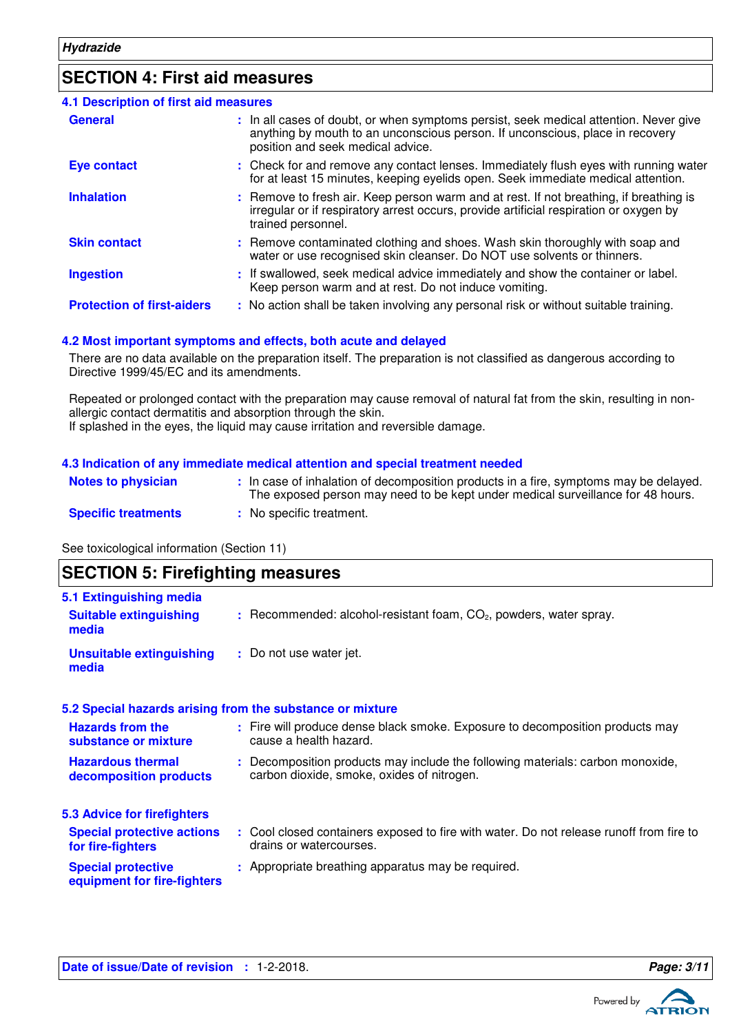## **SECTION 4: First aid measures**

| <b>4.1 Description of first aid measures</b> |                                                                                                                                                                                                             |
|----------------------------------------------|-------------------------------------------------------------------------------------------------------------------------------------------------------------------------------------------------------------|
| <b>General</b>                               | : In all cases of doubt, or when symptoms persist, seek medical attention. Never give<br>anything by mouth to an unconscious person. If unconscious, place in recovery<br>position and seek medical advice. |
| <b>Eye contact</b>                           | : Check for and remove any contact lenses. Immediately flush eyes with running water<br>for at least 15 minutes, keeping eyelids open. Seek immediate medical attention.                                    |
| <b>Inhalation</b>                            | : Remove to fresh air. Keep person warm and at rest. If not breathing, if breathing is<br>irregular or if respiratory arrest occurs, provide artificial respiration or oxygen by<br>trained personnel.      |
| <b>Skin contact</b>                          | : Remove contaminated clothing and shoes. Wash skin thoroughly with soap and<br>water or use recognised skin cleanser. Do NOT use solvents or thinners.                                                     |
| <b>Ingestion</b>                             | : If swallowed, seek medical advice immediately and show the container or label.<br>Keep person warm and at rest. Do not induce vomiting.                                                                   |
| <b>Protection of first-aiders</b>            | : No action shall be taken involving any personal risk or without suitable training.                                                                                                                        |

#### **4.2 Most important symptoms and effects, both acute and delayed**

There are no data available on the preparation itself. The preparation is not classified as dangerous according to Directive 1999/45/EC and its amendments.

Repeated or prolonged contact with the preparation may cause removal of natural fat from the skin, resulting in nonallergic contact dermatitis and absorption through the skin. If splashed in the eyes, the liquid may cause irritation and reversible damage.

#### **4.3 Indication of any immediate medical attention and special treatment needed**

| <b>Notes to physician</b>  | : In case of inhalation of decomposition products in a fire, symptoms may be delayed.<br>The exposed person may need to be kept under medical surveillance for 48 hours. |
|----------------------------|--------------------------------------------------------------------------------------------------------------------------------------------------------------------------|
| <b>Specific treatments</b> | : No specific treatment.                                                                                                                                                 |

See toxicological information (Section 11)

| <b>SECTION 5: Firefighting measures</b>                           |                                                                                                                              |
|-------------------------------------------------------------------|------------------------------------------------------------------------------------------------------------------------------|
| 5.1 Extinguishing media<br><b>Suitable extinguishing</b><br>media | $:$ Recommended: alcohol-resistant foam, $CO2$ , powders, water spray.                                                       |
| <b>Unsuitable extinguishing</b><br>media                          | : Do not use water jet.                                                                                                      |
|                                                                   | 5.2 Special hazards arising from the substance or mixture                                                                    |
| <b>Hazards from the</b><br>substance or mixture                   | : Fire will produce dense black smoke. Exposure to decomposition products may<br>cause a health hazard.                      |
| <b>Hazardous thermal</b><br>decomposition products                | : Decomposition products may include the following materials: carbon monoxide,<br>carbon dioxide, smoke, oxides of nitrogen. |
| <b>5.3 Advice for firefighters</b>                                |                                                                                                                              |
| <b>Special protective actions</b><br>for fire-fighters            | : Cool closed containers exposed to fire with water. Do not release runoff from fire to<br>drains or watercourses.           |
| <b>Special protective</b><br>equipment for fire-fighters          | : Appropriate breathing apparatus may be required.                                                                           |

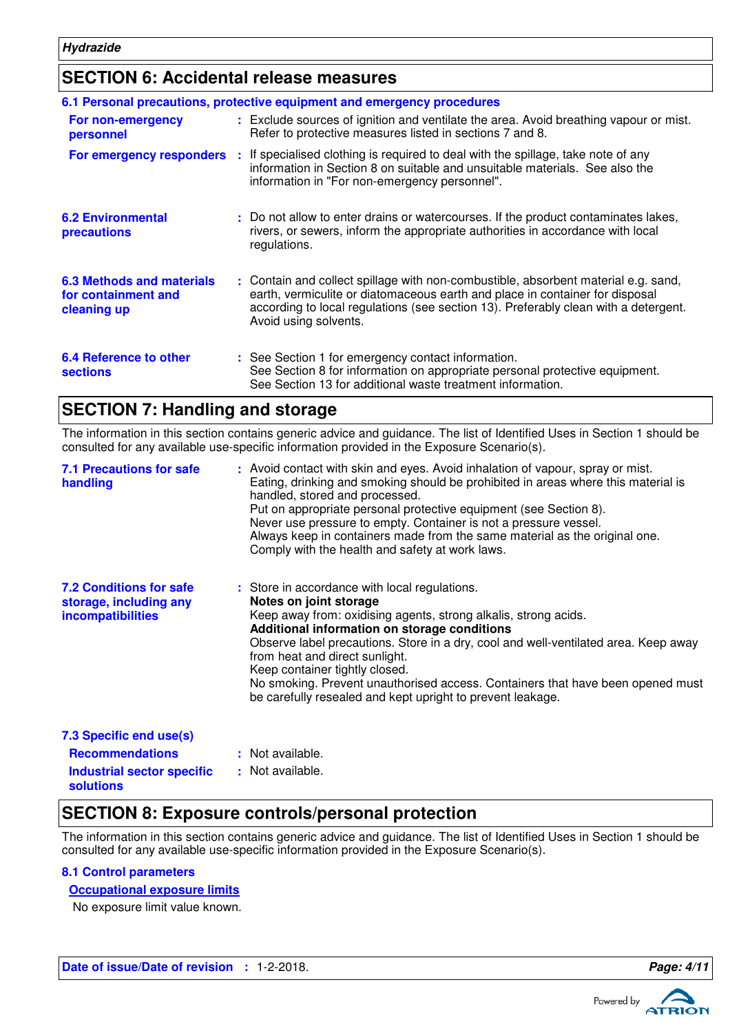## **SECTION 6: Accidental release measures**

|                                                                 | 6.1 Personal precautions, protective equipment and emergency procedures                                                                                                                                                                                                            |
|-----------------------------------------------------------------|------------------------------------------------------------------------------------------------------------------------------------------------------------------------------------------------------------------------------------------------------------------------------------|
| For non-emergency<br>personnel                                  | : Exclude sources of ignition and ventilate the area. Avoid breathing vapour or mist.<br>Refer to protective measures listed in sections 7 and 8.                                                                                                                                  |
| For emergency responders                                        | : If specialised clothing is required to deal with the spillage, take note of any<br>information in Section 8 on suitable and unsuitable materials. See also the<br>information in "For non-emergency personnel".                                                                  |
| <b>6.2 Environmental</b><br><b>precautions</b>                  | : Do not allow to enter drains or watercourses. If the product contaminates lakes,<br>rivers, or sewers, inform the appropriate authorities in accordance with local<br>regulations.                                                                                               |
| 6.3 Methods and materials<br>for containment and<br>cleaning up | : Contain and collect spillage with non-combustible, absorbent material e.g. sand,<br>earth, vermiculite or diatomaceous earth and place in container for disposal<br>according to local regulations (see section 13). Preferably clean with a detergent.<br>Avoid using solvents. |
| 6.4 Reference to other<br><b>sections</b>                       | : See Section 1 for emergency contact information.<br>See Section 8 for information on appropriate personal protective equipment.<br>See Section 13 for additional waste treatment information.                                                                                    |

### **SECTION 7: Handling and storage**

The information in this section contains generic advice and guidance. The list of Identified Uses in Section 1 should be consulted for any available use-specific information provided in the Exposure Scenario(s).

| <b>7.1 Precautions for safe</b><br>handling                                          | : Avoid contact with skin and eyes. Avoid inhalation of vapour, spray or mist.<br>Eating, drinking and smoking should be prohibited in areas where this material is<br>handled, stored and processed.<br>Put on appropriate personal protective equipment (see Section 8).<br>Never use pressure to empty. Container is not a pressure vessel.<br>Always keep in containers made from the same material as the original one.<br>Comply with the health and safety at work laws.                       |
|--------------------------------------------------------------------------------------|-------------------------------------------------------------------------------------------------------------------------------------------------------------------------------------------------------------------------------------------------------------------------------------------------------------------------------------------------------------------------------------------------------------------------------------------------------------------------------------------------------|
| <b>7.2 Conditions for safe</b><br>storage, including any<br><i>incompatibilities</i> | : Store in accordance with local regulations.<br>Notes on joint storage<br>Keep away from: oxidising agents, strong alkalis, strong acids.<br>Additional information on storage conditions<br>Observe label precautions. Store in a dry, cool and well-ventilated area. Keep away<br>from heat and direct sunlight.<br>Keep container tightly closed.<br>No smoking. Prevent unauthorised access. Containers that have been opened must<br>be carefully resealed and kept upright to prevent leakage. |
| 7.3 Specific end use(s)                                                              |                                                                                                                                                                                                                                                                                                                                                                                                                                                                                                       |
| <b>Recommendations</b>                                                               | : Not available.                                                                                                                                                                                                                                                                                                                                                                                                                                                                                      |
| <b>Industrial sector specific</b>                                                    | : Not available.                                                                                                                                                                                                                                                                                                                                                                                                                                                                                      |

### **SECTION 8: Exposure controls/personal protection**

The information in this section contains generic advice and guidance. The list of Identified Uses in Section 1 should be consulted for any available use-specific information provided in the Exposure Scenario(s).

#### **8.1 Control parameters**

**solutions**

#### **Occupational exposure limits**

No exposure limit value known.

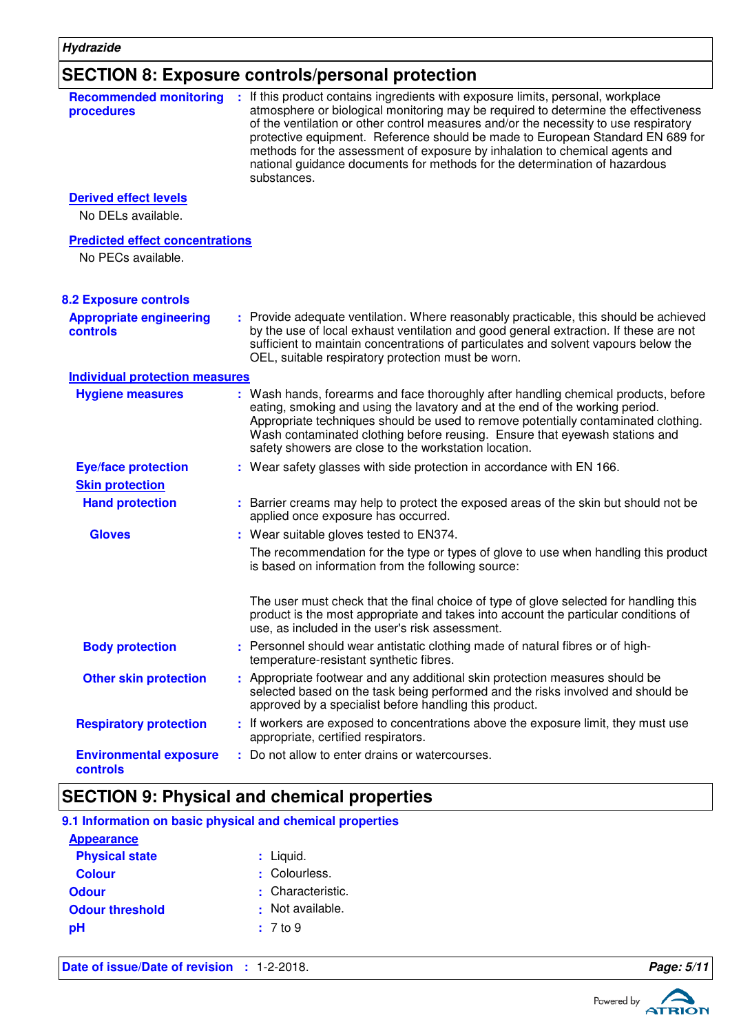## **SECTION 8: Exposure controls/personal protection**

| <b>Recommended monitoring</b><br>procedures                  | : If this product contains ingredients with exposure limits, personal, workplace<br>atmosphere or biological monitoring may be required to determine the effectiveness<br>of the ventilation or other control measures and/or the necessity to use respiratory<br>protective equipment. Reference should be made to European Standard EN 689 for<br>methods for the assessment of exposure by inhalation to chemical agents and<br>national guidance documents for methods for the determination of hazardous<br>substances. |
|--------------------------------------------------------------|------------------------------------------------------------------------------------------------------------------------------------------------------------------------------------------------------------------------------------------------------------------------------------------------------------------------------------------------------------------------------------------------------------------------------------------------------------------------------------------------------------------------------|
| <b>Derived effect levels</b>                                 |                                                                                                                                                                                                                                                                                                                                                                                                                                                                                                                              |
| No DELs available.                                           |                                                                                                                                                                                                                                                                                                                                                                                                                                                                                                                              |
| <b>Predicted effect concentrations</b><br>No PECs available. |                                                                                                                                                                                                                                                                                                                                                                                                                                                                                                                              |
| <b>8.2 Exposure controls</b>                                 |                                                                                                                                                                                                                                                                                                                                                                                                                                                                                                                              |
| <b>Appropriate engineering</b><br>controls                   | : Provide adequate ventilation. Where reasonably practicable, this should be achieved<br>by the use of local exhaust ventilation and good general extraction. If these are not<br>sufficient to maintain concentrations of particulates and solvent vapours below the<br>OEL, suitable respiratory protection must be worn.                                                                                                                                                                                                  |
| <b>Individual protection measures</b>                        |                                                                                                                                                                                                                                                                                                                                                                                                                                                                                                                              |
| <b>Hygiene measures</b>                                      | : Wash hands, forearms and face thoroughly after handling chemical products, before<br>eating, smoking and using the lavatory and at the end of the working period.<br>Appropriate techniques should be used to remove potentially contaminated clothing.<br>Wash contaminated clothing before reusing. Ensure that eyewash stations and<br>safety showers are close to the workstation location.                                                                                                                            |
| <b>Eye/face protection</b>                                   | : Wear safety glasses with side protection in accordance with EN 166.                                                                                                                                                                                                                                                                                                                                                                                                                                                        |
| <b>Skin protection</b>                                       |                                                                                                                                                                                                                                                                                                                                                                                                                                                                                                                              |
| <b>Hand protection</b>                                       | : Barrier creams may help to protect the exposed areas of the skin but should not be<br>applied once exposure has occurred.                                                                                                                                                                                                                                                                                                                                                                                                  |
| <b>Gloves</b>                                                | : Wear suitable gloves tested to EN374.                                                                                                                                                                                                                                                                                                                                                                                                                                                                                      |
|                                                              | The recommendation for the type or types of glove to use when handling this product<br>is based on information from the following source:                                                                                                                                                                                                                                                                                                                                                                                    |
|                                                              | The user must check that the final choice of type of glove selected for handling this<br>product is the most appropriate and takes into account the particular conditions of<br>use, as included in the user's risk assessment.                                                                                                                                                                                                                                                                                              |
| <b>Body protection</b>                                       | : Personnel should wear antistatic clothing made of natural fibres or of high-<br>temperature-resistant synthetic fibres.                                                                                                                                                                                                                                                                                                                                                                                                    |
| <b>Other skin protection</b>                                 | : Appropriate footwear and any additional skin protection measures should be<br>selected based on the task being performed and the risks involved and should be<br>approved by a specialist before handling this product.                                                                                                                                                                                                                                                                                                    |
| <b>Respiratory protection</b>                                | : If workers are exposed to concentrations above the exposure limit, they must use<br>appropriate, certified respirators.                                                                                                                                                                                                                                                                                                                                                                                                    |
| <b>Environmental exposure</b><br>controls                    | : Do not allow to enter drains or watercourses.                                                                                                                                                                                                                                                                                                                                                                                                                                                                              |
|                                                              | <b>SECTION 9: Physical and chemical properties</b>                                                                                                                                                                                                                                                                                                                                                                                                                                                                           |

|                        | 9.1 Information on basic physical and chemical properties |
|------------------------|-----------------------------------------------------------|
| <b>Appearance</b>      |                                                           |
| <b>Physical state</b>  | $:$ Liquid.                                               |
| <b>Colour</b>          | : Colourless.                                             |
| <b>Odour</b>           | : Characteristic.                                         |
| <b>Odour threshold</b> | : Not available.                                          |
| pН                     | $: 7$ to $9$                                              |
|                        |                                                           |
|                        |                                                           |

**Date of issue/Date of revision : 1-2-2018. Page: 5/11** 

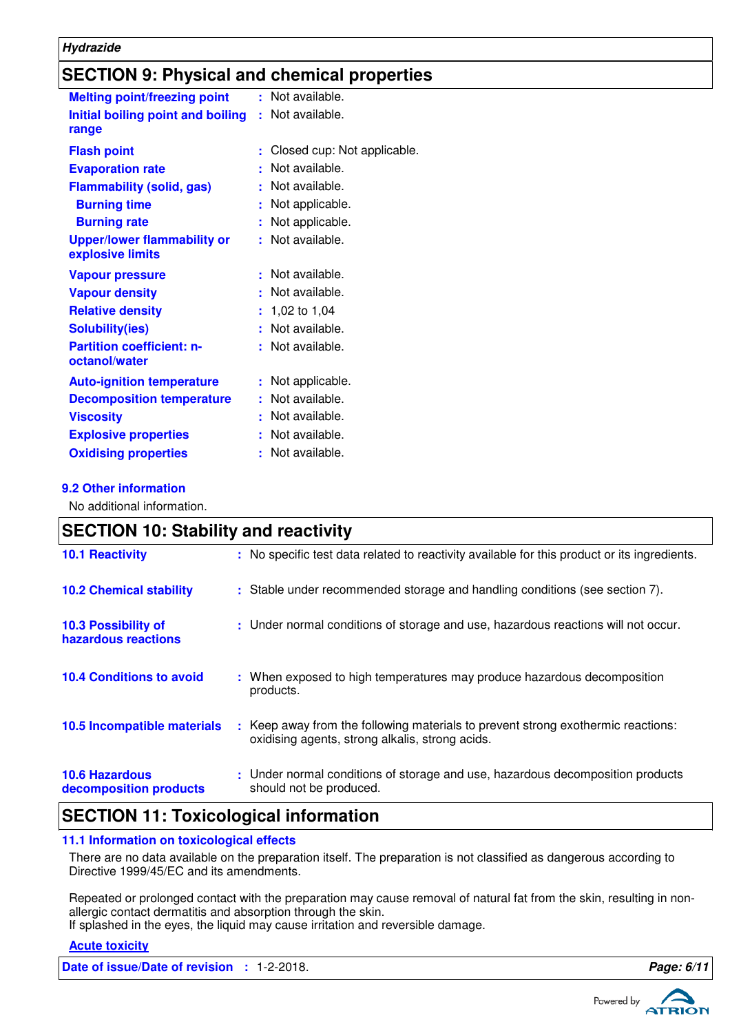## **SECTION 9: Physical and chemical properties**

| <b>Melting point/freezing point</b>                    |    | : Not available.            |
|--------------------------------------------------------|----|-----------------------------|
| Initial boiling point and boiling<br>range             |    | : Not available.            |
| <b>Flash point</b>                                     |    | Closed cup: Not applicable. |
| <b>Evaporation rate</b>                                |    | Not available.              |
| <b>Flammability (solid, gas)</b>                       |    | : Not available.            |
| <b>Burning time</b>                                    |    | Not applicable.             |
| <b>Burning rate</b>                                    | ÷. | Not applicable.             |
| <b>Upper/lower flammability or</b><br>explosive limits |    | : Not available.            |
| <b>Vapour pressure</b>                                 |    | Not available.              |
| <b>Vapour density</b>                                  |    | : Not available.            |
| <b>Relative density</b>                                |    | $: 1,02$ to 1,04            |
| <b>Solubility(ies)</b>                                 |    | : Not available.            |
| <b>Partition coefficient: n-</b><br>octanol/water      |    | : Not available.            |
| <b>Auto-ignition temperature</b>                       |    | : Not applicable.           |
| <b>Decomposition temperature</b>                       |    | Not available.              |
| <b>Viscosity</b>                                       |    | Not available.              |
| <b>Explosive properties</b>                            | ÷  | Not available.              |
| <b>Oxidising properties</b>                            |    | Not available.              |

#### **9.2 Other information**

No additional information.

| <b>SECTION 10: Stability and reactivity</b>     |                                                                                                                                        |  |  |  |
|-------------------------------------------------|----------------------------------------------------------------------------------------------------------------------------------------|--|--|--|
| <b>10.1 Reactivity</b>                          | : No specific test data related to reactivity available for this product or its ingredients.                                           |  |  |  |
| <b>10.2 Chemical stability</b>                  | : Stable under recommended storage and handling conditions (see section 7).                                                            |  |  |  |
| 10.3 Possibility of<br>hazardous reactions      | : Under normal conditions of storage and use, hazardous reactions will not occur.                                                      |  |  |  |
| <b>10.4 Conditions to avoid</b>                 | : When exposed to high temperatures may produce hazardous decomposition<br>products.                                                   |  |  |  |
| 10.5 Incompatible materials                     | Keep away from the following materials to prevent strong exothermic reactions:<br>÷<br>oxidising agents, strong alkalis, strong acids. |  |  |  |
| <b>10.6 Hazardous</b><br>decomposition products | : Under normal conditions of storage and use, hazardous decomposition products<br>should not be produced.                              |  |  |  |

## **SECTION 11: Toxicological information**

#### **11.1 Information on toxicological effects**

There are no data available on the preparation itself. The preparation is not classified as dangerous according to Directive 1999/45/EC and its amendments.

Repeated or prolonged contact with the preparation may cause removal of natural fat from the skin, resulting in nonallergic contact dermatitis and absorption through the skin.

If splashed in the eyes, the liquid may cause irritation and reversible damage.

#### **Acute toxicity**

**Date of issue/Date of revision :** 1-2-2018. **Page: 6/11**

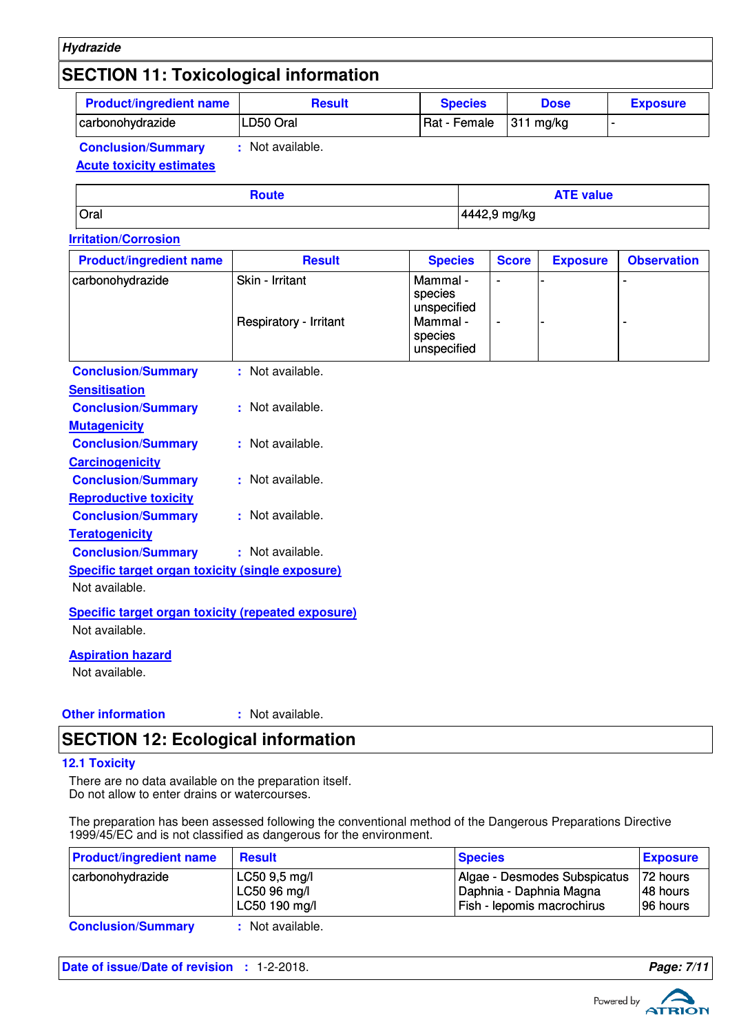#### **Hydrazide**

## **SECTION 11: Toxicological information**

| <b>Product/ingredient name</b> | Result    | <b>Species</b> | <b>Dose</b>  | <b>Exposure</b> |
|--------------------------------|-----------|----------------|--------------|-----------------|
| carbonohydrazide               | LD50 Oral | Rat - Female   | 311<br>ma/ka |                 |
|                                |           |                |              |                 |

**Conclusion/Summary :** Not available.

#### **Acute toxicity estimates**

| <b>Route</b> | <b>ATE value</b> |
|--------------|------------------|
| Oral         | 4442,9 mg/kg     |

#### **Irritation/Corrosion**

| <b>Product/ingredient name</b>                                              | <b>Result</b>                             | <b>Species</b>                                                           | <b>Score</b>   | <b>Exposure</b> | <b>Observation</b> |
|-----------------------------------------------------------------------------|-------------------------------------------|--------------------------------------------------------------------------|----------------|-----------------|--------------------|
| carbonohydrazide                                                            | Skin - Irritant<br>Respiratory - Irritant | Mammal -<br>species<br>unspecified<br>Mammal -<br>species<br>unspecified | $\blacksquare$ |                 |                    |
| <b>Conclusion/Summary</b>                                                   | : Not available.                          |                                                                          |                |                 |                    |
| <b>Sensitisation</b>                                                        |                                           |                                                                          |                |                 |                    |
| <b>Conclusion/Summary</b>                                                   | : Not available.                          |                                                                          |                |                 |                    |
| <b>Mutagenicity</b>                                                         |                                           |                                                                          |                |                 |                    |
| <b>Conclusion/Summary</b>                                                   | : Not available.                          |                                                                          |                |                 |                    |
| <b>Carcinogenicity</b>                                                      |                                           |                                                                          |                |                 |                    |
| <b>Conclusion/Summary</b>                                                   | : Not available.                          |                                                                          |                |                 |                    |
| <b>Reproductive toxicity</b>                                                |                                           |                                                                          |                |                 |                    |
| <b>Conclusion/Summary</b>                                                   | : Not available.                          |                                                                          |                |                 |                    |
| <b>Teratogenicity</b>                                                       |                                           |                                                                          |                |                 |                    |
| <b>Conclusion/Summary</b>                                                   | : Not available.                          |                                                                          |                |                 |                    |
| <b>Specific target organ toxicity (single exposure)</b>                     |                                           |                                                                          |                |                 |                    |
| Not available.                                                              |                                           |                                                                          |                |                 |                    |
| <b>Specific target organ toxicity (repeated exposure)</b><br>Not available. |                                           |                                                                          |                |                 |                    |
| <b>Aspiration hazard</b><br>Not available.                                  |                                           |                                                                          |                |                 |                    |

#### **Other information :**

: Not available.

## **SECTION 12: Ecological information**

#### **12.1 Toxicity**

There are no data available on the preparation itself. Do not allow to enter drains or watercourses.

The preparation has been assessed following the conventional method of the Dangerous Preparations Directive 1999/45/EC and is not classified as dangerous for the environment.

| <b>Product/ingredient name</b> | <b>Result</b>                                  | <b>Species</b>                                                                        | <b>Exposure</b>                  |
|--------------------------------|------------------------------------------------|---------------------------------------------------------------------------------------|----------------------------------|
| carbonohydrazide               | LC50 9,5 mg/l<br>LC50 96 mg/l<br>LC50 190 mg/l | Algae - Desmodes Subspicatus<br>Daphnia - Daphnia Magna<br>Fish - lepomis macrochirus | 72 hours<br>48 hours<br>96 hours |
| <b>Conclusion/Summary</b>      | : Not available.                               |                                                                                       |                                  |

**Date of issue/Date of revision :** 1-2-2018. **Page: 7/11**

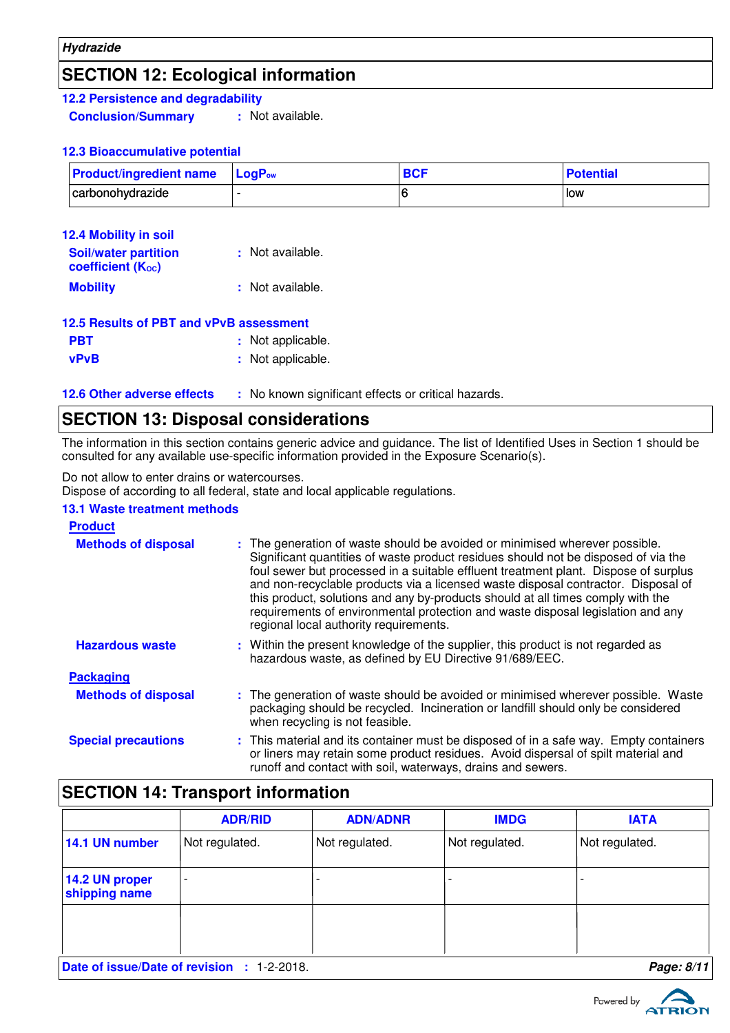## **SECTION 12: Ecological information**

**12.2 Persistence and degradability**

**Conclusion/Summary :** Not available.

#### **12.3 Bioaccumulative potential**

| <b>Product/ingredient name</b> LogP <sub>ow</sub> |  | <b>Potential</b> |
|---------------------------------------------------|--|------------------|
| carbonohydrazide                                  |  | low              |

| <b>12.4 Mobility in soil</b>                                         |                  |
|----------------------------------------------------------------------|------------------|
| <b>Soil/water partition</b><br><b>coefficient</b> (K <sub>oc</sub> ) | : Not available. |
| <b>Mobility</b>                                                      | : Not available. |

| 12.5 Results of PBT and vPvB assessment |                   |
|-----------------------------------------|-------------------|
| <b>PBT</b>                              | : Not applicable. |
| <b>vPvB</b>                             | : Not applicable. |

**12.6 Other adverse effects** : No known significant effects or critical hazards.

### **SECTION 13: Disposal considerations**

The information in this section contains generic advice and guidance. The list of Identified Uses in Section 1 should be consulted for any available use-specific information provided in the Exposure Scenario(s).

Do not allow to enter drains or watercourses.

Dispose of according to all federal, state and local applicable regulations.

#### **13.1 Waste treatment methods**

#### Within the present knowledge of the supplier, this product is not regarded as hazardous waste, as defined by EU Directive 91/689/EEC. **Hazardous waste : Methods of disposal : Product Packaging Methods of disposal : Special precautions :** The generation of waste should be avoided or minimised wherever possible. Waste packaging should be recycled. Incineration or landfill should only be considered when recycling is not feasible. This material and its container must be disposed of in a safe way. Empty containers or liners may retain some product residues. Avoid dispersal of spilt material and runoff and contact with soil, waterways, drains and sewers. The generation of waste should be avoided or minimised wherever possible. Significant quantities of waste product residues should not be disposed of via the foul sewer but processed in a suitable effluent treatment plant. Dispose of surplus and non-recyclable products via a licensed waste disposal contractor. Disposal of this product, solutions and any by-products should at all times comply with the requirements of environmental protection and waste disposal legislation and any regional local authority requirements.

## **SECTION 14: Transport information**

|                                 | <b>ADR/RID</b>           | <b>ADN/ADNR</b> | <b>IMDG</b>    | <b>IATA</b>    |
|---------------------------------|--------------------------|-----------------|----------------|----------------|
| 14.1 UN number                  | Not regulated.           | Not regulated.  | Not regulated. | Not regulated. |
| 14.2 UN proper<br>shipping name | $\overline{\phantom{a}}$ |                 |                |                |
|                                 |                          |                 |                |                |
| Date of issue/Date of revision  | $: 1 - 2 - 2018.$        |                 |                | Page: 8/11     |

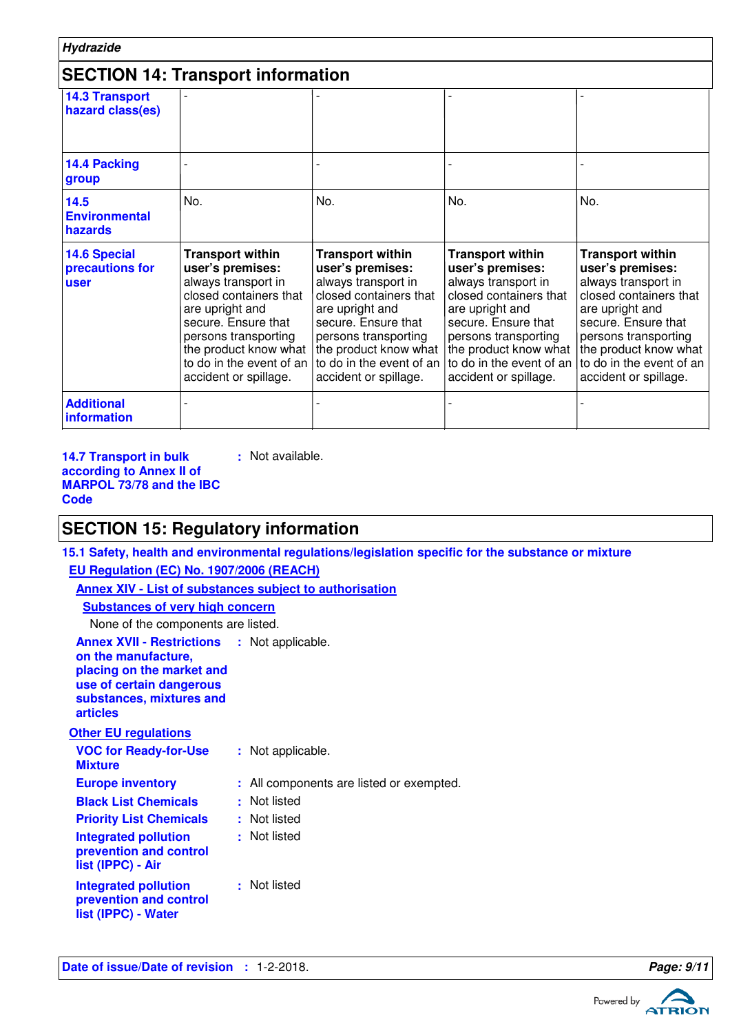| <b>Hydrazide</b>                                      |                                                                                                                                                                                                                                                  |                                                                                                                                                                                                                                                                      |                                                                                                                                                                                                                     |                                                                                                                                                                                                                                              |
|-------------------------------------------------------|--------------------------------------------------------------------------------------------------------------------------------------------------------------------------------------------------------------------------------------------------|----------------------------------------------------------------------------------------------------------------------------------------------------------------------------------------------------------------------------------------------------------------------|---------------------------------------------------------------------------------------------------------------------------------------------------------------------------------------------------------------------|----------------------------------------------------------------------------------------------------------------------------------------------------------------------------------------------------------------------------------------------|
|                                                       | <b>SECTION 14: Transport information</b>                                                                                                                                                                                                         |                                                                                                                                                                                                                                                                      |                                                                                                                                                                                                                     |                                                                                                                                                                                                                                              |
| <b>14.3 Transport</b><br>hazard class(es)             |                                                                                                                                                                                                                                                  |                                                                                                                                                                                                                                                                      |                                                                                                                                                                                                                     |                                                                                                                                                                                                                                              |
| 14.4 Packing<br>group                                 |                                                                                                                                                                                                                                                  |                                                                                                                                                                                                                                                                      |                                                                                                                                                                                                                     |                                                                                                                                                                                                                                              |
| 14.5<br><b>Environmental</b><br>hazards               | No.                                                                                                                                                                                                                                              | No.                                                                                                                                                                                                                                                                  | No.                                                                                                                                                                                                                 | No.                                                                                                                                                                                                                                          |
| <b>14.6 Special</b><br>precautions for<br><b>user</b> | <b>Transport within</b><br>user's premises:<br>always transport in<br>closed containers that<br>are upright and<br>secure. Ensure that<br>persons transporting<br>the product know what $ $<br>to do in the event of an<br>accident or spillage. | <b>Transport within</b><br>user's premises:<br>always transport in<br>closed containers that<br>are upright and<br>secure. Ensure that<br>persons transporting<br>the product know what   the product know what<br>to do in the event of an<br>accident or spillage. | <b>Transport within</b><br>user's premises:<br>always transport in<br>closed containers that<br>are upright and<br>secure. Ensure that<br>persons transporting<br>to do in the event of an<br>accident or spillage. | <b>Transport within</b><br>user's premises:<br>always transport in<br>closed containers that<br>are upright and<br>secure. Ensure that<br>persons transporting<br>the product know what<br>to do in the event of an<br>accident or spillage. |
| <b>Additional</b><br>information                      |                                                                                                                                                                                                                                                  |                                                                                                                                                                                                                                                                      |                                                                                                                                                                                                                     |                                                                                                                                                                                                                                              |

**14.7 Transport in bulk according to Annex II of MARPOL 73/78 and the IBC Code**

**:** Not available.

## **SECTION 15: Regulatory information**

**15.1 Safety, health and environmental regulations/legislation specific for the substance or mixture EU Regulation (EC) No. 1907/2006 (REACH)**

| <b>Annex XIV - List of substances subject to authorisation</b>                                                                                                                    |  |                                          |  |  |
|-----------------------------------------------------------------------------------------------------------------------------------------------------------------------------------|--|------------------------------------------|--|--|
| <b>Substances of very high concern</b>                                                                                                                                            |  |                                          |  |  |
| None of the components are listed.                                                                                                                                                |  |                                          |  |  |
| <b>Annex XVII - Restrictions : Not applicable.</b><br>on the manufacture,<br>placing on the market and<br>use of certain dangerous<br>substances, mixtures and<br><b>articles</b> |  |                                          |  |  |
| <b>Other EU regulations</b>                                                                                                                                                       |  |                                          |  |  |
| <b>VOC for Ready-for-Use</b><br><b>Mixture</b>                                                                                                                                    |  | : Not applicable.                        |  |  |
| <b>Europe inventory</b>                                                                                                                                                           |  | : All components are listed or exempted. |  |  |
| <b>Black List Chemicals</b>                                                                                                                                                       |  | : Not listed                             |  |  |
| <b>Priority List Chemicals</b>                                                                                                                                                    |  | : Not listed                             |  |  |
| <b>Integrated pollution</b><br>prevention and control<br>list (IPPC) - Air                                                                                                        |  | : Not listed                             |  |  |
| Integrated pollution<br>prevention and control<br>list (IPPC) - Water                                                                                                             |  | : Not listed                             |  |  |

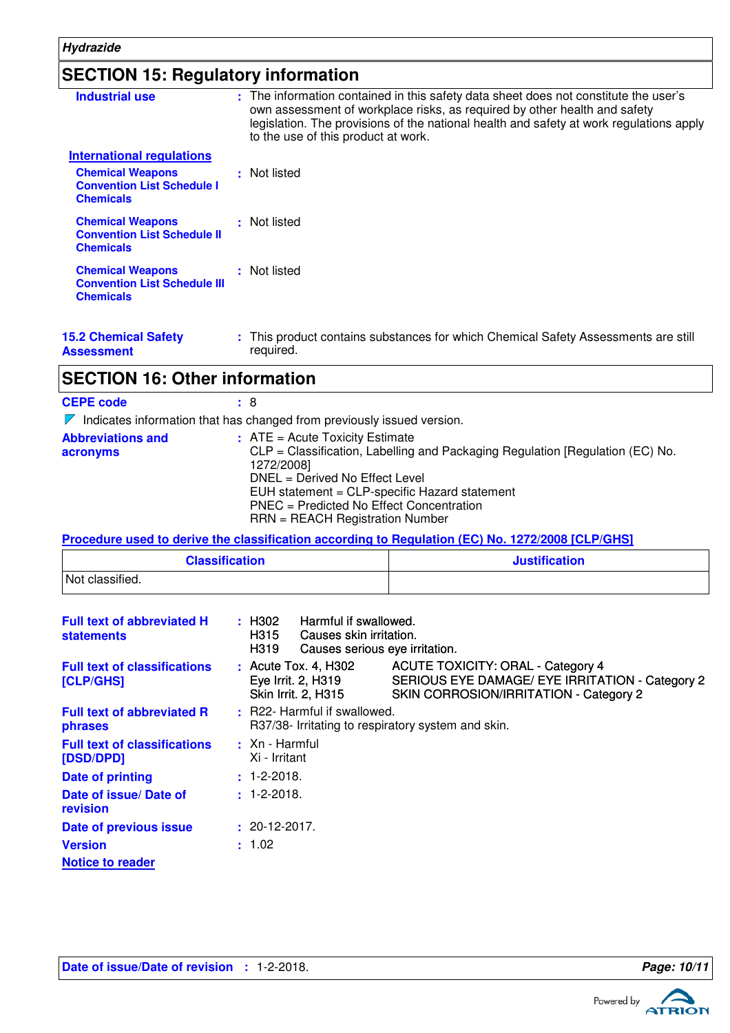## **SECTION 15: Regulatory information**

| <b>Industrial use</b>                                                              | : The information contained in this safety data sheet does not constitute the user's<br>own assessment of workplace risks, as required by other health and safety<br>legislation. The provisions of the national health and safety at work regulations apply<br>to the use of this product at work. |
|------------------------------------------------------------------------------------|-----------------------------------------------------------------------------------------------------------------------------------------------------------------------------------------------------------------------------------------------------------------------------------------------------|
| International regulations                                                          |                                                                                                                                                                                                                                                                                                     |
| <b>Chemical Weapons</b><br><b>Convention List Schedule I</b><br><b>Chemicals</b>   | : Not listed                                                                                                                                                                                                                                                                                        |
| <b>Chemical Weapons</b><br><b>Convention List Schedule II</b><br><b>Chemicals</b>  | : Not listed                                                                                                                                                                                                                                                                                        |
| <b>Chemical Weapons</b><br><b>Convention List Schedule III</b><br><b>Chemicals</b> | : Not listed                                                                                                                                                                                                                                                                                        |
| <b>15.2 Chemical Safety</b>                                                        | : This product contains substances for which Chemical Safety Assessments are still                                                                                                                                                                                                                  |

**Assessment** required.

## **SECTION 16: Other information**

| <b>CEPE code</b>                                                                       | $\pm$ 8                                                                                                                                                                                                                                                                                            |  |  |  |
|----------------------------------------------------------------------------------------|----------------------------------------------------------------------------------------------------------------------------------------------------------------------------------------------------------------------------------------------------------------------------------------------------|--|--|--|
| Indicates information that has changed from previously issued version.<br>$\mathbb{Z}$ |                                                                                                                                                                                                                                                                                                    |  |  |  |
| <b>Abbreviations and</b><br>acronyms                                                   | $:$ ATE = Acute Toxicity Estimate<br>CLP = Classification, Labelling and Packaging Regulation [Regulation (EC) No.<br>1272/2008]<br>DNEL = Derived No Effect Level<br>EUH statement = CLP-specific Hazard statement<br>PNEC = Predicted No Effect Concentration<br>RRN = REACH Registration Number |  |  |  |

**Procedure used to derive the classification according to Regulation (EC) No. 1272/2008 [CLP/GHS]**

| <b>Classification</b> | <b>Justification</b> |
|-----------------------|----------------------|
| Not classified.       |                      |

| <b>Full text of abbreviated H</b><br><b>statements</b> | Harmful if swallowed.<br>: H302<br>Causes skin irritation.<br>H315<br>H319<br>Causes serious eye irritation. |                                                                                                                                       |  |
|--------------------------------------------------------|--------------------------------------------------------------------------------------------------------------|---------------------------------------------------------------------------------------------------------------------------------------|--|
| <b>Full text of classifications</b><br>[CLP/GHS]       | $:$ Acute Tox. 4, H302<br>Eye Irrit. 2, H319<br><b>Skin Irrit. 2, H315</b>                                   | <b>ACUTE TOXICITY: ORAL - Category 4</b><br>SERIOUS EYE DAMAGE/ EYE IRRITATION - Category 2<br>SKIN CORROSION/IRRITATION - Category 2 |  |
| <b>Full text of abbreviated R</b><br>phrases           | : R22- Harmful if swallowed.<br>R37/38- Irritating to respiratory system and skin.                           |                                                                                                                                       |  |
| <b>Full text of classifications</b><br>[DSD/DPD]       | $\pm$ Xn - Harmful<br>Xi - Irritant                                                                          |                                                                                                                                       |  |
| Date of printing                                       | $: 1 - 2 - 2018.$                                                                                            |                                                                                                                                       |  |
| Date of issue/ Date of<br>revision                     | $: 1 - 2 - 2018.$                                                                                            |                                                                                                                                       |  |
| Date of previous issue                                 | $: 20-12-2017.$                                                                                              |                                                                                                                                       |  |
| <b>Version</b>                                         | : 1.02                                                                                                       |                                                                                                                                       |  |
| <b>Notice to reader</b>                                |                                                                                                              |                                                                                                                                       |  |